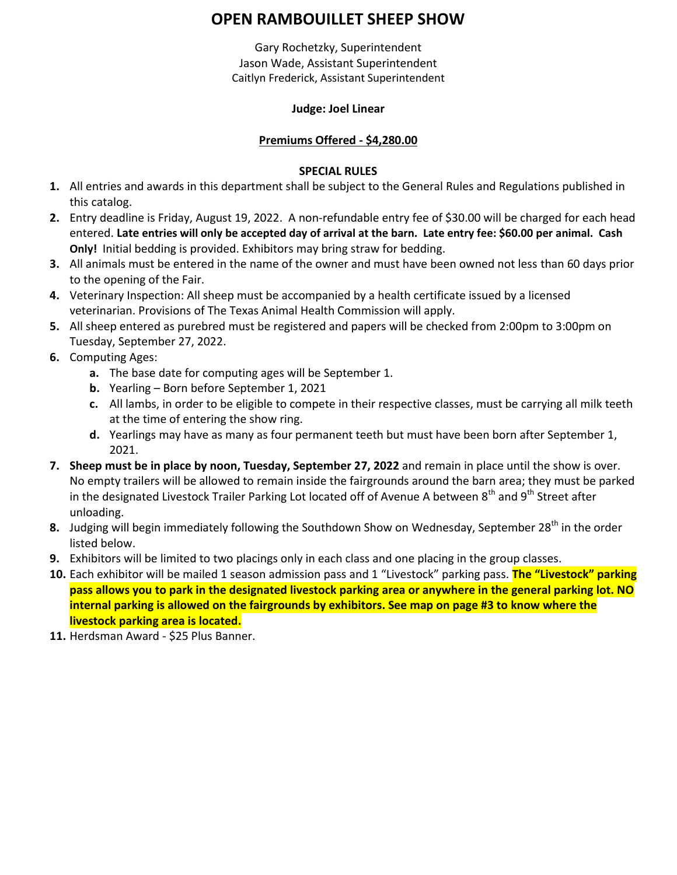# **OPEN RAMBOUILLET SHEEP SHOW**

Gary Rochetzky, Superintendent Jason Wade, Assistant Superintendent Caitlyn Frederick, Assistant Superintendent

### **Judge: Joel Linear**

## **Premiums Offered - \$4,280.00**

### **SPECIAL RULES**

- **1.** All entries and awards in this department shall be subject to the General Rules and Regulations published in this catalog.
- **2.** Entry deadline is Friday, August 19, 2022. A non-refundable entry fee of \$30.00 will be charged for each head entered. **Late entries will only be accepted day of arrival at the barn. Late entry fee: \$60.00 per animal. Cash Only!** Initial bedding is provided. Exhibitors may bring straw for bedding.
- **3.** All animals must be entered in the name of the owner and must have been owned not less than 60 days prior to the opening of the Fair.
- **4.** Veterinary Inspection: All sheep must be accompanied by a health certificate issued by a licensed veterinarian. Provisions of The Texas Animal Health Commission will apply.
- **5.** All sheep entered as purebred must be registered and papers will be checked from 2:00pm to 3:00pm on Tuesday, September 27, 2022.
- **6.** Computing Ages:
	- **a.** The base date for computing ages will be September 1.
	- **b.** Yearling Born before September 1, 2021
	- **c.** All lambs, in order to be eligible to compete in their respective classes, must be carrying all milk teeth at the time of entering the show ring.
	- **d.** Yearlings may have as many as four permanent teeth but must have been born after September 1, 2021.
- **7. Sheep must be in place by noon, Tuesday, September 27, 2022** and remain in place until the show is over. No empty trailers will be allowed to remain inside the fairgrounds around the barn area; they must be parked in the designated Livestock Trailer Parking Lot located off of Avenue A between  $8^{th}$  and  $9^{th}$  Street after unloading.
- 8. Judging will begin immediately following the Southdown Show on Wednesday, September 28<sup>th</sup> in the order listed below.
- **9.** Exhibitors will be limited to two placings only in each class and one placing in the group classes.
- **10.** Each exhibitor will be mailed 1 season admission pass and 1 "Livestock" parking pass. **The "Livestock" parking pass allows you to park in the designated livestock parking area or anywhere in the general parking lot. NO internal parking is allowed on the fairgrounds by exhibitors. See map on page #3 to know where the livestock parking area is located.**
- **11.** Herdsman Award \$25 Plus Banner.